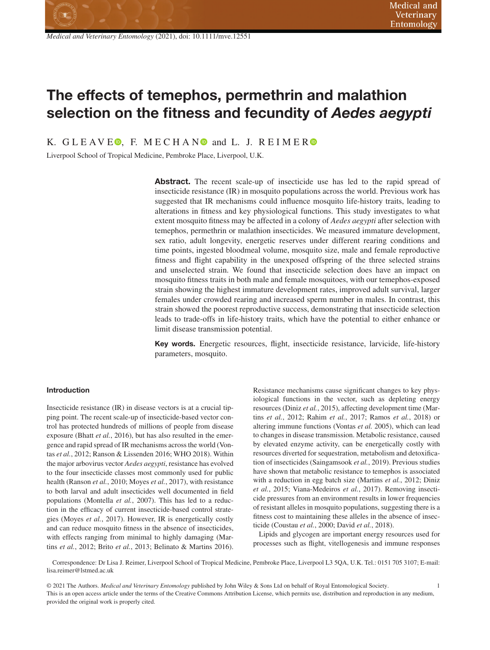# **The effects of temephos, permethrin and malathion selection on the fitness and fecundity of** *Aedes aegypti*

K. GLEAVE<sup>O</sup>[,](https://orcid.org/0000-0001-9298-4403) F. MECHAN<sup>O</sup> and L. J. REIMER<sup>O</sup>

Liverpool School of Tropical Medicine, Pembroke Place, Liverpool, U.K.

**Abstract.** The recent scale-up of insecticide use has led to the rapid spread of insecticide resistance (IR) in mosquito populations across the world. Previous work has suggested that IR mechanisms could influence mosquito life-history traits, leading to alterations in fitness and key physiological functions. This study investigates to what extent mosquito fitness may be affected in a colony of *Aedes aegypti* after selection with temephos, permethrin or malathion insecticides. We measured immature development, sex ratio, adult longevity, energetic reserves under different rearing conditions and time points, ingested bloodmeal volume, mosquito size, male and female reproductive fitness and flight capability in the unexposed offspring of the three selected strains and unselected strain. We found that insecticide selection does have an impact on mosquito fitness traits in both male and female mosquitoes, with our temephos-exposed strain showing the highest immature development rates, improved adult survival, larger females under crowded rearing and increased sperm number in males. In contrast, this strain showed the poorest reproductive success, demonstrating that insecticide selection leads to trade-offs in life-history traits, which have the potential to either enhance or limit disease transmission potential.

**Key words.** Energetic resources, flight, insecticide resistance, larvicide, life-history parameters, mosquito.

## **Introduction**

Insecticide resistance (IR) in disease vectors is at a crucial tipping point. The recent scale-up of insecticide-based vector control has protected hundreds of millions of people from disease exposure (Bhatt *et al.*, 2016), but has also resulted in the emergence and rapid spread of IR mechanisms across the world (Vontas *et al.*, 2012; Ranson & Lissenden 2016; WHO 2018). Within the major arbovirus vector *Aedes aegypti*, resistance has evolved to the four insecticide classes most commonly used for public health (Ranson *et al.*, 2010; Moyes *et al.*, 2017), with resistance to both larval and adult insecticides well documented in field populations (Montella *et al.*, 2007). This has led to a reduction in the efficacy of current insecticide-based control strategies (Moyes *et al.*, 2017). However, IR is energetically costly and can reduce mosquito fitness in the absence of insecticides, with effects ranging from minimal to highly damaging (Martins *et al.*, 2012; Brito *et al.*, 2013; Belinato & Martins 2016).

Resistance mechanisms cause significant changes to key physiological functions in the vector, such as depleting energy resources (Diniz *et al.*, 2015), affecting development time (Martins *et al.*, 2012; Rahim *et al.*, 2017; Ramos *et al.*, 2018) or altering immune functions (Vontas *et al.* 2005), which can lead to changes in disease transmission. Metabolic resistance, caused by elevated enzyme activity, can be energetically costly with resources diverted for sequestration, metabolism and detoxification of insecticides (Saingamsook *et al.*, 2019). Previous studies have shown that metabolic resistance to temephos is associated with a reduction in egg batch size (Martins *et al.*, 2012; Diniz *et al.*, 2015; Viana-Medeiros *et al.*, 2017). Removing insecticide pressures from an environment results in lower frequencies of resistant alleles in mosquito populations, suggesting there is a fitness cost to maintaining these alleles in the absence of insecticide (Coustau *et al.*, 2000; David *et al.*, 2018).

Lipids and glycogen are important energy resources used for processes such as flight, vitellogenesis and immune responses

Correspondence: Dr Lisa J. Reimer, Liverpool School of Tropical Medicine, Pembroke Place, Liverpool L3 5QA, U.K. Tel.: 0151 705 3107; E-mail: lisa.reimer@lstmed.ac.uk

© 2021 The Authors. *Medical and Veterinary Entomology* published by John Wiley & Sons Ltd on behalf of Royal Entomological Society. 1 This is an open access article under the terms of the Creative Commons Attribution License, which permits use, distribution and reproduction in any medium, provided the original work is properly cited.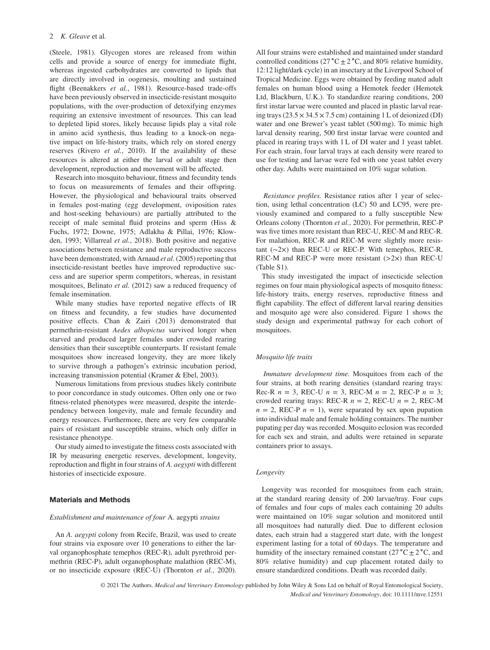(Steele, 1981). Glycogen stores are released from within cells and provide a source of energy for immediate flight, whereas ingested carbohydrates are converted to lipids that are directly involved in oogenesis, moulting and sustained flight (Beenakkers et al., 1981). Resource-based trade-offs have been previously observed in insecticide-resistant mosquito populations, with the over-production of detoxifying enzymes requiring an extensive investment of resources. This can lead to depleted lipid stores, likely because lipids play a vital role in amino acid synthesis, thus leading to a knock-on negative impact on life-history traits, which rely on stored energy reserves (Rivero *et al.*, 2010). If the availability of these resources is altered at either the larval or adult stage then development, reproduction and movement will be affected.

Research into mosquito behaviour, fitness and fecundity tends to focus on measurements of females and their offspring. However, the physiological and behavioural traits observed in females post-mating (egg development, oviposition rates and host-seeking behaviours) are partially attributed to the receipt of male seminal fluid proteins and sperm (Hiss & Fuchs, 1972; Downe, 1975; Adlakha & Pillai, 1976; Klowden, 1993; Villarreal *et al.*, 2018). Both positive and negative associations between resistance and male reproductive success have been demonstrated, with Arnaud *et al.* (2005) reporting that insecticide-resistant beetles have improved reproductive success and are superior sperm competitors, whereas, in resistant mosquitoes, Belinato *et al.* (2012) saw a reduced frequency of female insemination.

While many studies have reported negative effects of IR on fitness and fecundity, a few studies have documented positive effects. Chan & Zairi (2013) demonstrated that permethrin-resistant *Aedes albopictus* survived longer when starved and produced larger females under crowded rearing densities than their susceptible counterparts. If resistant female mosquitoes show increased longevity, they are more likely to survive through a pathogen's extrinsic incubation period, increasing transmission potential (Kramer & Ebel, 2003).

Numerous limitations from previous studies likely contribute to poor concordance in study outcomes. Often only one or two fitness-related phenotypes were measured, despite the interdependency between longevity, male and female fecundity and energy resources. Furthermore, there are very few comparable pairs of resistant and susceptible strains, which only differ in resistance phenotype.

Our study aimed to investigate the fitness costs associated with IR by measuring energetic reserves, development, longevity, reproduction and flight in four strains of *A. aegypti* with different histories of insecticide exposure.

#### **Materials and Methods**

#### *Establishment and maintenance of four* A. aegypti *strains*

An *A. aegypti* colony from Recife, Brazil, was used to create four strains via exposure over 10 generations to either the larval organophosphate temephos (REC-R), adult pyrethroid permethrin (REC-P), adult organophosphate malathion (REC-M), or no insecticide exposure (REC-U) (Thornton *et al.*, 2020). All four strains were established and maintained under standard controlled conditions (27 °C  $\pm$  2 °C, and 80% relative humidity, 12:12 light/dark cycle) in an insectary at the Liverpool School of Tropical Medicine. Eggs were obtained by feeding mated adult females on human blood using a Hemotek feeder (Hemotek Ltd, Blackburn, U.K.). To standardize rearing conditions, 200 first instar larvae were counted and placed in plastic larval rearing trays  $(23.5 \times 34.5 \times 7.5 \text{ cm})$  containing 1 L of deionized (DI) water and one Brewer's yeast tablet (500 mg). To mimic high larval density rearing, 500 first instar larvae were counted and placed in rearing trays with 1 L of DI water and 1 yeast tablet. For each strain, four larval trays at each density were reared to use for testing and larvae were fed with one yeast tablet every other day. Adults were maintained on 10% sugar solution.

*Resistance profiles.* Resistance ratios after 1 year of selection, using lethal concentration (LC) 50 and LC95, were previously examined and compared to a fully susceptible New Orleans colony (Thornton *et al.*, 2020). For permethrin, REC-P was five times more resistant than REC-U, REC-M and REC-R. For malathion, REC-R and REC-M were slightly more resistant (∼2×) than REC-U or REC-P. With temephos, REC-R, REC-M and REC-P were more resistant (*>*2×) than REC-U (Table S1).

This study investigated the impact of insecticide selection regimes on four main physiological aspects of mosquito fitness: life-history traits, energy reserves, reproductive fitness and flight capability. The effect of different larval rearing densities and mosquito age were also considered. Figure 1 shows the study design and experimental pathway for each cohort of mosquitoes.

## *Mosquito life traits*

*Immature development time.* Mosquitoes from each of the four strains, at both rearing densities (standard rearing trays: Rec-R  $n = 3$ , REC-U  $n = 3$ , REC-M  $n = 2$ , REC-P  $n = 3$ ; crowded rearing trays: REC-R  $n = 2$ , REC-U  $n = 2$ , REC-M  $n = 2$ , REC-P  $n = 1$ ), were separated by sex upon pupation into individual male and female holding containers. The number pupating per day was recorded. Mosquito eclosion was recorded for each sex and strain, and adults were retained in separate containers prior to assays.

## *Longevity*

Longevity was recorded for mosquitoes from each strain, at the standard rearing density of 200 larvae/tray. Four cups of females and four cups of males each containing 20 adults were maintained on 10% sugar solution and monitored until all mosquitoes had naturally died. Due to different eclosion dates, each strain had a staggered start date, with the longest experiment lasting for a total of 60 days. The temperature and humidity of the insectary remained constant (27 °C $\pm$ 2 °C, and 80% relative humidity) and cup placement rotated daily to ensure standardized conditions. Death was recorded daily.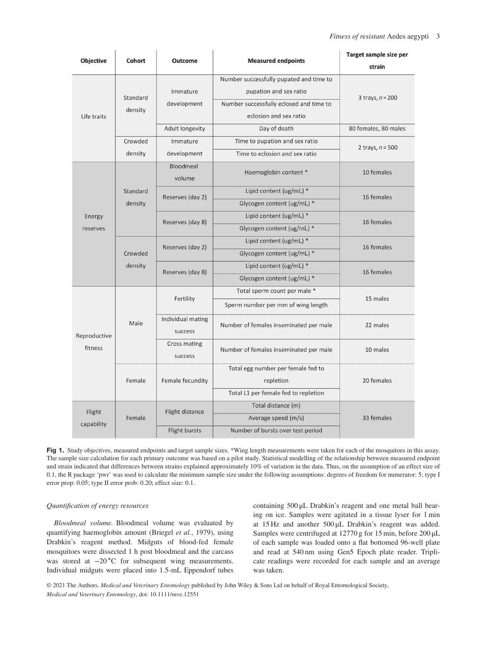| <b>Objective</b> | Cohort   | <b>Outcome</b>      | <b>Measured endpoints</b>               | Target sample size per<br>strain |  |
|------------------|----------|---------------------|-----------------------------------------|----------------------------------|--|
|                  |          |                     | Number successfully pupated and time to |                                  |  |
|                  |          | Immature            | pupation and sex ratio                  |                                  |  |
|                  | Standard | development         | Number successfully eclosed and time to | 3 trays, $n = 200$               |  |
| Life traits      | density  |                     | eclosion and sex ratio                  |                                  |  |
|                  |          | Adult longevity     | Day of death                            | 80 females, 80 males             |  |
|                  | Crowded  | Immature            | Time to pupation and sex ratio          |                                  |  |
|                  | density  | development         | Time to eclosion and sex ratio          | 2 trays, $n = 500$               |  |
|                  |          | Bloodmeal<br>volume | Haemoglobin content *                   | 10 females                       |  |
|                  | Standard |                     | Lipid content (ug/mL) *                 |                                  |  |
|                  | density  | Reserves (day 2)    | Glycogen content (ug/mL) *              | 16 females                       |  |
| Energy           |          | Reserves (day 8)    | Lipid content (ug/mL) *                 |                                  |  |
| reserves         |          |                     | Glycogen content (ug/mL) *              | 16 females                       |  |
|                  | Crowded  | Reserves (day 2)    | Lipid content (ug/mL) *                 | 16 females                       |  |
|                  |          |                     | Glycogen content (ug/mL) *              |                                  |  |
|                  | density  | Reserves (day 8)    | Lipid content (ug/mL) *                 | 16 females                       |  |
|                  |          |                     | Glycogen content (ug/mL) *              |                                  |  |
|                  |          |                     | Total sperm count per male *            |                                  |  |
|                  | Male     | Fertility           | Sperm number per mm of wing length      | 15 males                         |  |
|                  |          | Individual mating   | Number of females inseminated per male  | 22 males                         |  |
| Reproductive     |          | success             |                                         |                                  |  |
| fitness          |          | Cross mating        | Number of females inseminated per male  | 10 males                         |  |
|                  |          | success             |                                         |                                  |  |
|                  |          |                     | Total egg number per female fed to      |                                  |  |
|                  | Female   | Female fecundity    | repletion                               | 20 females                       |  |
|                  |          |                     | Total L1 per female fed to repletion    |                                  |  |
| Flight           |          | Flight distance     | Total distance (m)                      |                                  |  |
| capability       | Female   |                     | Average speed (m/s)                     | 33 females                       |  |
|                  |          | Flight bursts       | Number of bursts over test period       |                                  |  |

**Fig 1.** Study objectives, measured endpoints and target sample sizes. \*Wing length measurements were taken for each of the mosquitoes in this assay. The sample size calculation for each primary outcome was based on a pilot study. Statistical modelling of the relationship between measured endpoint and strain indicated that differences between strains explained approximately 10% of variation in the data. Thus, on the assumption of an effect size of 0.1, the R package 'pwr' was used to calculate the minimum sample size under the following assumptions: degrees of freedom for numerator: 5; type I error prop: 0.05; type II error prob: 0.20; effect size: 0.1.

# *Quantification of energy resources*

*Bloodmeal volume.* Bloodmeal volume was evaluated by quantifying haemoglobin amount (Briegel *et al.*, 1979), using Drabkin's reagent method. Midguts of blood-fed female mosquitoes were dissected 1 h post bloodmeal and the carcass was stored at −20 °C for subsequent wing measurements. Individual midguts were placed into 1.5-mL Eppendorf tubes containing 500 μL Drabkin's reagent and one metal ball bearing on ice. Samples were agitated in a tissue lyser for 1 min at 15 Hz and another 500 μL Drabkin's reagent was added. Samples were centrifuged at 12770 g for 15 min, before 200 μL of each sample was loaded onto a flat bottomed 96-well plate and read at 540 nm using Gen5 Epoch plate reader. Triplicate readings were recorded for each sample and an average was taken.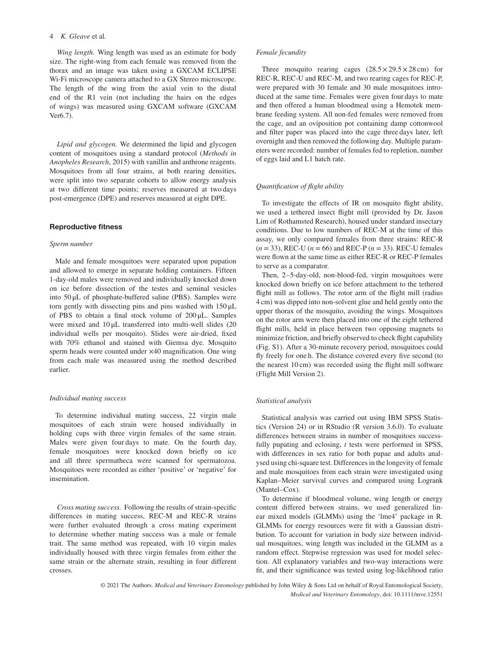#### 4 *K. Gleave* et al*.*

*Wing length.* Wing length was used as an estimate for body size. The right-wing from each female was removed from the thorax and an image was taken using a GXCAM ECLIPSE Wi-Fi microscope camera attached to a GX Stereo microscope. The length of the wing from the axial vein to the distal end of the R1 vein (not including the hairs on the edges of wings) was measured using GXCAM software (GXCAM Ver6.7).

*Lipid and glycogen.* We determined the lipid and glycogen content of mosquitoes using a standard protocol (*Methods in Anopheles Research*, 2015) with vanillin and anthrone reagents. Mosquitoes from all four strains, at both rearing densities, were split into two separate cohorts to allow energy analysis at two different time points; reserves measured at two days post-emergence (DPE) and reserves measured at eight DPE.

## **Reproductive fitness**

#### *Sperm number*

Male and female mosquitoes were separated upon pupation and allowed to emerge in separate holding containers. Fifteen 1-day-old males were removed and individually knocked down on ice before dissection of the testes and seminal vesicles into 50 μL of phosphate-buffered saline (PBS). Samples were torn gently with dissecting pins and pins washed with 150 μL of PBS to obtain a final stock volume of 200 μL. Samples were mixed and 10 μL transferred into multi-well slides (20 individual wells per mosquito). Slides were air-dried, fixed with 70% ethanol and stained with Giemsa dye. Mosquito sperm heads were counted under ×40 magnification. One wing from each male was measured using the method described earlier.

#### *Individual mating success*

To determine individual mating success, 22 virgin male mosquitoes of each strain were housed individually in holding cups with three virgin females of the same strain. Males were given four days to mate. On the fourth day, female mosquitoes were knocked down briefly on ice and all three spermatheca were scanned for spermatozoa. Mosquitoes were recorded as either 'positive' or 'negative' for insemination.

*Cross mating success.* Following the results of strain-specific differences in mating success, REC-M and REC-R strains were further evaluated through a cross mating experiment to determine whether mating success was a male or female trait. The same method was repeated, with 10 virgin males individually housed with three virgin females from either the same strain or the alternate strain, resulting in four different crosses.

#### *Female fecundity*

Three mosquito rearing cages  $(28.5 \times 29.5 \times 28 \text{ cm})$  for REC-R, REC-U and REC-M, and two rearing cages for REC-P, were prepared with 30 female and 30 male mosquitoes introduced at the same time. Females were given four days to mate and then offered a human bloodmeal using a Hemotek membrane feeding system. All non-fed females were removed from the cage, and an oviposition pot containing damp cottonwool and filter paper was placed into the cage three days later, left overnight and then removed the following day. Multiple parameters were recorded: number of females fed to repletion, number of eggs laid and L1 hatch rate.

## *Quantification of flight ability*

To investigate the effects of IR on mosquito flight ability, we used a tethered insect flight mill (provided by Dr. Jason Lim of Rothamsted Research), housed under standard insectary conditions. Due to low numbers of REC-M at the time of this assay, we only compared females from three strains: REC-R  $(n = 33)$ , REC-U  $(n = 66)$  and REC-P  $(n = 33)$ . REC-U females were flown at the same time as either REC-R or REC-P females to serve as a comparator.

Then, 2–5-day-old, non-blood-fed, virgin mosquitoes were knocked down briefly on ice before attachment to the tethered flight mill as follows. The rotor arm of the flight mill (radius 4 cm) was dipped into non-solvent glue and held gently onto the upper thorax of the mosquito, avoiding the wings. Mosquitoes on the rotor arm were then placed into one of the eight tethered flight mills, held in place between two opposing magnets to minimize friction, and briefly observed to check flight capability (Fig. S1). After a 30-minute recovery period, mosquitoes could fly freely for one h. The distance covered every five second (to the nearest 10 cm) was recorded using the flight mill software (Flight Mill Version 2).

#### *Statistical analysis*

Statistical analysis was carried out using IBM SPSS Statistics (Version 24) or in RStudio (R version 3.6.0). To evaluate differences between strains in number of mosquitoes successfully pupating and eclosing, *t* tests were performed in SPSS, with differences in sex ratio for both pupae and adults analysed using chi-square test. Differences in the longevity of female and male mosquitoes from each strain were investigated using Kaplan–Meier survival curves and compared using Logrank (Mantel–Cox).

To determine if bloodmeal volume, wing length or energy content differed between strains, we used generalized linear mixed models (GLMMs) using the 'lme4' package in R. GLMMs for energy resources were fit with a Gaussian distribution. To account for variation in body size between individual mosquitoes, wing length was included in the GLMM as a random effect. Stepwise regression was used for model selection. All explanatory variables and two-way interactions were fit, and their significance was tested using log-likelihood ratio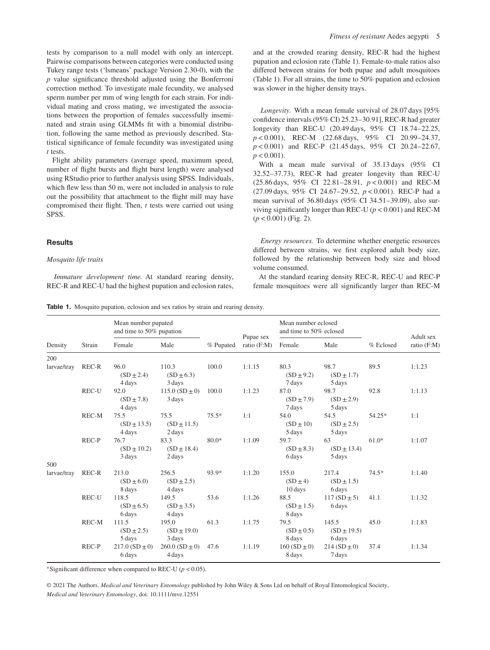tests by comparison to a null model with only an intercept. Pairwise comparisons between categories were conducted using Tukey range tests ('lsmeans' package Version 2.30-0), with the *p* value significance threshold adjusted using the Bonferroni correction method. To investigate male fecundity, we analysed sperm number per mm of wing length for each strain. For individual mating and cross mating, we investigated the associations between the proportion of females successfully inseminated and strain using GLMMs fit with a binomial distribution, following the same method as previously described. Statistical significance of female fecundity was investigated using *t* tests.

Flight ability parameters (average speed, maximum speed, number of flight bursts and flight burst length) were analysed using RStudio prior to further analysis using SPSS. Individuals, which flew less than 50 m, were not included in analysis to rule out the possibility that attachment to the flight mill may have compromised their flight. Then, *t* tests were carried out using SPSS.

## **Results**

## *Mosquito life traits*

*Immature development time.* At standard rearing density, REC-R and REC-U had the highest pupation and eclosion rates, and at the crowded rearing density, REC-R had the highest pupation and eclosion rate (Table 1). Female-to-male ratios also differed between strains for both pupae and adult mosquitoes (Table 1). For all strains, the time to 50% pupation and eclosion was slower in the higher density trays.

*Longevity.* With a mean female survival of 28.07 days [95% confidence intervals (95% CI) 25.23–30.91], REC-R had greater longevity than REC-U (20.49 days, 95% CI 18.74–22.25, *p<*0.001), REC-M (22.68 days, 95% CI 20.99–24.37, *p<*0.001) and REC-P (21.45 days, 95% CI 20.24–22.67,  $p < 0.001$ ).

With a mean male survival of 35.13 days (95% CI 32.52–37.73), REC-R had greater longevity than REC-U (25.86 days, 95% CI 22.81–28.91, *p<*0.001) and REC-M (27.09 days, 95% CI 24.67–29.52, *p<*0.001). REC-P had a mean survival of 36.80 days (95% CI 34.51–39.09), also surviving significantly longer than REC-U (*p<*0.001) and REC-M (*p<*0.001) (Fig. 2).

*Energy resources.* To determine whether energetic resources differed between strains, we first explored adult body size, followed by the relationship between body size and blood volume consumed.

At the standard rearing density REC-R, REC-U and REC-P female mosquitoes were all significantly larger than REC-M

**Table 1.** Mosquito pupation, eclosion and sex ratios by strain and rearing density.

| Density     | Strain | Mean number pupated<br>and time to 50% pupation |                                    |           |                          | Mean number eclosed<br>and time to 50% eclosed |                                    |           |                          |
|-------------|--------|-------------------------------------------------|------------------------------------|-----------|--------------------------|------------------------------------------------|------------------------------------|-----------|--------------------------|
|             |        | Female                                          | Male                               | % Pupated | Pupae sex<br>ratio (F:M) | Female                                         | Male                               | % Eclosed | Adult sex<br>ratio (F:M) |
| 200         |        |                                                 |                                    |           |                          |                                                |                                    |           |                          |
| larvae/tray | REC-R  | 96.0<br>$(SD \pm 2.4)$<br>4 days                | 110.3<br>$(SD \pm 6.3)$<br>3 days  | 100.0     | 1:1.15                   | 80.3<br>$(SD \pm 9.2)$<br>7 days               | 98.7<br>$(SD \pm 1.7)$<br>5 days   | 89.5      | 1:1.23                   |
|             | REC-U  | 92.0<br>$(SD \pm 7.8)$<br>4 days                | $115.0(SD \pm 0)$<br>3 days        | 100.0     | 1:1.23                   | 87.0<br>$(SD \pm 7.9)$<br>7 days               | 98.7<br>$(SD \pm 2.9)$<br>5 days   | 92.8      | 1:1.13                   |
|             | REC-M  | 75.5<br>$(SD \pm 13.5)$<br>4 days               | 75.5<br>$(SD \pm 11.5)$<br>2 days  | $75.5*$   | 1:1                      | 54.0<br>$(SD \pm 10)$<br>5 days                | 54.5<br>$(SD \pm 2.5)$<br>5 days   | 54.25*    | 1:1                      |
|             | REC-P  | 76.7<br>$(SD \pm 10.2)$<br>3 days               | 83.3<br>$(SD \pm 18.4)$<br>2 days  | $80.0*$   | 1:1.09                   | 59.7<br>$(SD \pm 8.3)$<br>6 days               | 63<br>$(SD \pm 13.4)$<br>5 days    | $61.0*$   | 1:1.07                   |
| 500         |        |                                                 |                                    |           |                          |                                                |                                    |           |                          |
| larvae/tray | REC-R  | 213.0<br>$(SD \pm 6.0)$<br>8 days               | 256.5<br>$(SD \pm 2.5)$<br>4 days  | 93.9*     | 1:1.20                   | 155.0<br>$(SD \pm 4)$<br>10 days               | 217.4<br>$(SD \pm 1.5)$<br>6 days  | $74.5*$   | 1:1.40                   |
|             | REC-U  | 118.5<br>$(SD \pm 6.5)$<br>6 days               | 149.5<br>$(SD \pm 3.5)$<br>4 days  | 53.6      | 1:1.26                   | 88.5<br>$(SD \pm 1.5)$<br>8 days               | $117(SD \pm 5)$<br>6 days          | 41.1      | 1:1.32                   |
|             | REC-M  | 111.5<br>$(SD \pm 2.5)$<br>5 days               | 195.0<br>$(SD \pm 19.0)$<br>3 days | 61.3      | 1:1.75                   | 79.5<br>$(SD \pm 0.5)$<br>8 days               | 145.5<br>$(SD \pm 19.5)$<br>6 days | 45.0      | 1:1.83                   |
|             | REC-P  | $217.0(SD \pm 0)$<br>6 days                     | $260.0 (SD \pm 0)$<br>4 days       | 47.6      | 1:1.19                   | $160(SD \pm 0)$<br>8 days                      | $214(SD \pm 0)$<br>7 days          | 37.4      | 1:1.34                   |

<sup>∗</sup>Significant difference when compared to REC-U (*p<*0.05).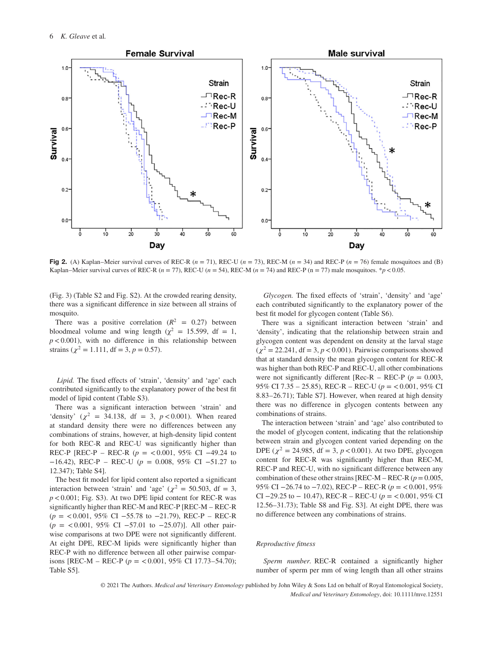

**Fig 2.** (A) Kaplan–Meier survival curves of REC-R  $(n = 71)$ , REC-U  $(n = 73)$ , REC-M  $(n = 34)$  and REC-P  $(n = 76)$  female mosquitoes and (B) Kaplan–Meier survival curves of REC-R  $(n = 77)$ , REC-U  $(n = 54)$ , REC-M  $(n = 74)$  and REC-P  $(n = 77)$  male mosquitoes. \**p* < 0.05.

(Fig. 3) (Table S2 and Fig. S2). At the crowded rearing density, there was a significant difference in size between all strains of mosquito.

There was a positive correlation  $(R^2 = 0.27)$  between bloodmeal volume and wing length ( $\chi^2$  = 15.599, df = 1, *p<*0.001), with no difference in this relationship between strains ( $\chi^2 = 1.111$ , df = 3, p = 0.57).

*Lipid.* The fixed effects of 'strain', 'density' and 'age' each contributed significantly to the explanatory power of the best fit model of lipid content (Table S3).

There was a significant interaction between 'strain' and 'density' ( $\chi^2$  = 34.138, df = 3,  $p < 0.001$ ). When reared at standard density there were no differences between any combinations of strains, however, at high-density lipid content for both REC-R and REC-U was significantly higher than REC-P [REC-P – REC-R (*p* = *<*0.001, 95% CI −49.24 to −16.42), REC-P – REC-U (*p* = 0.008, 95% CI −51.27 to 12.347); Table S4].

The best fit model for lipid content also reported a significant interaction between 'strain' and 'age' ( $\chi^2$  = 50.503, df = 3, *p<*0.001; Fig. S3). At two DPE lipid content for REC-R was significantly higher than REC-M and REC-P [REC-M – REC-R (*p* = *<*0.001, 95% CI −55.78 to −21.79), REC-P – REC-R (*p* = *<*0.001, 95% CI −57.01 to −25.07)]. All other pairwise comparisons at two DPE were not significantly different. At eight DPE, REC-M lipids were significantly higher than REC-P with no difference between all other pairwise comparisons [REC-M – REC-P (*p* = *<*0.001, 95% CI 17.73–54.70); Table S5].

*Glycogen.* The fixed effects of 'strain', 'density' and 'age' each contributed significantly to the explanatory power of the best fit model for glycogen content (Table S6).

There was a significant interaction between 'strain' and 'density', indicating that the relationship between strain and glycogen content was dependent on density at the larval stage  $(\chi^2 = 22.241, df = 3, p < 0.001)$ . Pairwise comparisons showed that at standard density the mean glycogen content for REC-R was higher than both REC-P and REC-U, all other combinations were not significantly different [Rec-R – REC-P ( $p = 0.003$ , 95% CI 7.35 – 25.85), REC-R – REC-U (*p* = *<*0.001, 95% CI 8.83–26.71); Table S7]. However, when reared at high density there was no difference in glycogen contents between any combinations of strains.

The interaction between 'strain' and 'age' also contributed to the model of glycogen content, indicating that the relationship between strain and glycogen content varied depending on the DPE ( $\chi^2$  = 24.985, df = 3, *p* < 0.001). At two DPE, glycogen content for REC-R was significantly higher than REC-M, REC-P and REC-U, with no significant difference between any combination of these other strains [REC-M – REC-R  $(p = 0.005,$ 95% CI −26.74 to −7.02), REC-P – REC-R (*p* = *<*0.001, 95% CI −29.25 to − 10.47), REC-R – REC-U (*p* = *<*0.001, 95% CI 12.56–31.73); Table S8 and Fig. S3]. At eight DPE, there was no difference between any combinations of strains.

## *Reproductive fitness*

*Sperm number.* REC-R contained a significantly higher number of sperm per mm of wing length than all other strains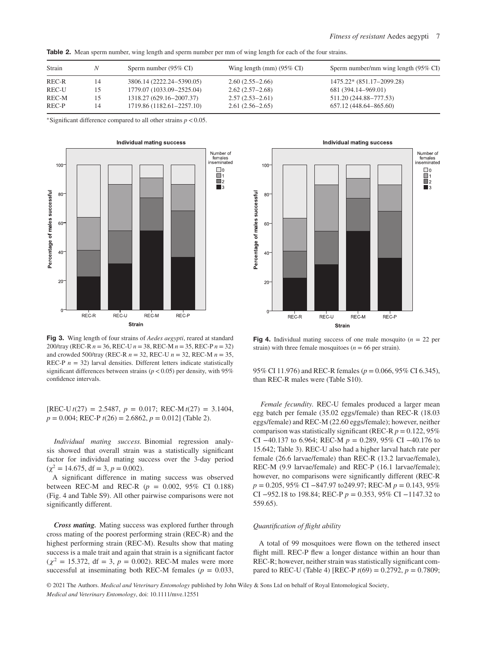|  | Table 2. Mean sperm number, wing length and sperm number per mm of wing length for each of the four strains. |  |  |  |  |  |
|--|--------------------------------------------------------------------------------------------------------------|--|--|--|--|--|
|--|--------------------------------------------------------------------------------------------------------------|--|--|--|--|--|

| Strain | Ν  | Sperm number $(95\% \text{ CI})$ | Wing length (mm) $(95\% \text{ CI})$ | Sperm number/mm wing length (95% CI) |
|--------|----|----------------------------------|--------------------------------------|--------------------------------------|
| REC-R  | 14 | 3806.14 (2222.24–5390.05)        | $2.60(2.55-2.66)$                    | 1475.22* (851.17-2099.28)            |
| REC-U  |    | 1779.07 (1033.09–2525.04)        | $2.62(2.57-2.68)$                    | 681 (394.14–969.01)                  |
| REC-M  | 15 | 1318.27 (629.16-2007.37)         | $2.57(2.53-2.61)$                    | 511.20 (244.88–777.53)               |
| REC-P  | 14 | 1719.86 (1182.61-2257.10)        | $2.61(2.56-2.65)$                    | 657.12 (448.64–865.60)               |

<sup>∗</sup>Significant difference compared to all other strains *p<*0.05.



**Fig 3.** Wing length of four strains of *Aedes aegypti*, reared at standard 200/tray (REC-R *n* = 36, REC-U *n* = 38, REC-M *n* = 35, REC-P *n* = 32) and crowded 500/tray (REC-R *n* = 32, REC-U *n* = 32, REC-M *n* = 35, REC-P  $n = 32$ ) larval densities. Different letters indicate statistically significant differences between strains (*p<*0.05) per density, with 95% confidence intervals.

 $[REC-U t(27) = 2.5487, p = 0.017; REC-M t(27) = 3.1404,$ *p* = 0.004; REC-P *t*(26) = 2.6862, *p* = 0.012] (Table 2).

*Individual mating success.* Binomial regression analysis showed that overall strain was a statistically significant factor for individual mating success over the 3-day period  $(\chi^2 = 14.675, df = 3, p = 0.002).$ 

A significant difference in mating success was observed between REC-M and REC-R (*p* = 0.002, 95% CI 0.188) (Fig. 4 and Table S9). All other pairwise comparisons were not significantly different.

*Cross mating.* Mating success was explored further through cross mating of the poorest performing strain (REC-R) and the highest performing strain (REC-M). Results show that mating success is a male trait and again that strain is a significant factor  $(\chi^2 = 15.372, df = 3, p = 0.002)$ . REC-M males were more successful at inseminating both REC-M females ( $p = 0.033$ ,



**Fig 4.** Individual mating success of one male mosquito  $(n = 22 \text{ per})$ strain) with three female mosquitoes ( $n = 66$  per strain).

95% CI 11.976) and REC-R females (*p* = 0.066, 95% CI 6.345), than REC-R males were (Table S10).

*Female fecundity.* REC-U females produced a larger mean egg batch per female (35.02 eggs/female) than REC-R (18.03 eggs/female) and REC-M (22.60 eggs/female); however, neither comparison was statistically significant (REC-R *p* = 0.122, 95% CI −40.137 to 6.964; REC-M *p* = 0.289, 95% CI −40.176 to 15.642; Table 3). REC-U also had a higher larval hatch rate per female (26.6 larvae/female) than REC-R (13.2 larvae/female), REC-M (9.9 larvae/female) and REC-P (16.1 larvae/female); however, no comparisons were significantly different (REC-R *p* = 0.205, 95% CI −847.97 to249.97; REC-M *p* = 0.143, 95% CI −952.18 to 198.84; REC-P *p* = 0.353, 95% CI −1147.32 to 559.65).

## *Quantification of flight ability*

A total of 99 mosquitoes were flown on the tethered insect flight mill. REC-P flew a longer distance within an hour than REC-R; however, neither strain was statistically significant compared to REC-U (Table 4) [REC-P  $t(69) = 0.2792$ ,  $p = 0.7809$ ;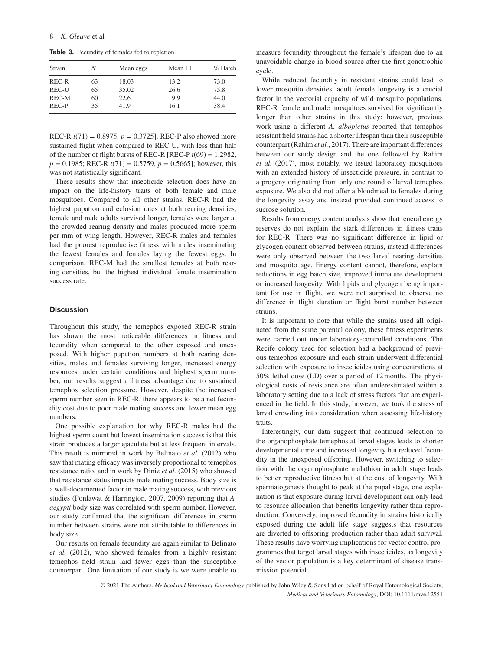**Table 3.** Fecundity of females fed to repletion.

| Strain | N  | Mean eggs | Mean L1 | $\%$ Hatch |
|--------|----|-----------|---------|------------|
| REC-R  | 63 | 18.03     | 13.2    | 73.0       |
| REC-U  | 65 | 35.02     | 26.6    | 75.8       |
| REC-M  | 60 | 22.6      | 9.9     | 44.0       |
| REC-P  | 35 | 41.9      | 16.1    | 38.4       |

REC-R  $t(71) = 0.8975$ ,  $p = 0.3725$ . REC-P also showed more sustained flight when compared to REC-U, with less than half of the number of flight bursts of REC-R [REC-P  $t(69) = 1.2982$ ,  $p = 0.1985$ ; REC-R  $t(71) = 0.5759$ ,  $p = 0.5665$ ]; however, this was not statistically significant.

These results show that insecticide selection does have an impact on the life-history traits of both female and male mosquitoes. Compared to all other strains, REC-R had the highest pupation and eclosion rates at both rearing densities, female and male adults survived longer, females were larger at the crowded rearing density and males produced more sperm per mm of wing length. However, REC-R males and females had the poorest reproductive fitness with males inseminating the fewest females and females laying the fewest eggs. In comparison, REC-M had the smallest females at both rearing densities, but the highest individual female insemination success rate.

#### **Discussion**

Throughout this study, the temephos exposed REC-R strain has shown the most noticeable differences in fitness and fecundity when compared to the other exposed and unexposed. With higher pupation numbers at both rearing densities, males and females surviving longer, increased energy resources under certain conditions and highest sperm number, our results suggest a fitness advantage due to sustained temephos selection pressure. However, despite the increased sperm number seen in REC-R, there appears to be a net fecundity cost due to poor male mating success and lower mean egg numbers.

One possible explanation for why REC-R males had the highest sperm count but lowest insemination success is that this strain produces a larger ejaculate but at less frequent intervals. This result is mirrored in work by Belinato *et al.* (2012) who saw that mating efficacy was inversely proportional to temephos resistance ratio, and in work by Diniz *et al.* (2015) who showed that resistance status impacts male mating success. Body size is a well-documented factor in male mating success, with previous studies (Ponlawat & Harrington, 2007, 2009) reporting that *A. aegypti* body size was correlated with sperm number. However, our study confirmed that the significant differences in sperm number between strains were not attributable to differences in body size.

Our results on female fecundity are again similar to Belinato *et al.* (2012), who showed females from a highly resistant temephos field strain laid fewer eggs than the susceptible counterpart. One limitation of our study is we were unable to measure fecundity throughout the female's lifespan due to an unavoidable change in blood source after the first gonotrophic cycle.

While reduced fecundity in resistant strains could lead to lower mosquito densities, adult female longevity is a crucial factor in the vectorial capacity of wild mosquito populations. REC-R female and male mosquitoes survived for significantly longer than other strains in this study; however, previous work using a different *A. albopictus* reported that temephos resistant field strains had a shorter lifespan than their susceptible counterpart (Rahim *et al.*, 2017). There are important differences between our study design and the one followed by Rahim *et al.* (2017), most notably, we tested laboratory mosquitoes with an extended history of insecticide pressure, in contrast to a progeny originating from only one round of larval temephos exposure. We also did not offer a bloodmeal to females during the longevity assay and instead provided continued access to sucrose solution.

Results from energy content analysis show that teneral energy reserves do not explain the stark differences in fitness traits for REC-R. There was no significant difference in lipid or glycogen content observed between strains, instead differences were only observed between the two larval rearing densities and mosquito age. Energy content cannot, therefore, explain reductions in egg batch size, improved immature development or increased longevity. With lipids and glycogen being important for use in flight, we were not surprised to observe no difference in flight duration or flight burst number between strains.

It is important to note that while the strains used all originated from the same parental colony, these fitness experiments were carried out under laboratory-controlled conditions. The Recife colony used for selection had a background of previous temephos exposure and each strain underwent differential selection with exposure to insecticides using concentrations at 50% lethal dose (LD) over a period of 12 months. The physiological costs of resistance are often underestimated within a laboratory setting due to a lack of stress factors that are experienced in the field. In this study, however, we took the stress of larval crowding into consideration when assessing life-history traits.

Interestingly, our data suggest that continued selection to the organophosphate temephos at larval stages leads to shorter developmental time and increased longevity but reduced fecundity in the unexposed offspring. However, switching to selection with the organophosphate malathion in adult stage leads to better reproductive fitness but at the cost of longevity. With spermatogenesis thought to peak at the pupal stage, one explanation is that exposure during larval development can only lead to resource allocation that benefits longevity rather than reproduction. Conversely, improved fecundity in strains historically exposed during the adult life stage suggests that resources are diverted to offspring production rather than adult survival. These results have worrying implications for vector control programmes that target larval stages with insecticides, as longevity of the vector population is a key determinant of disease transmission potential.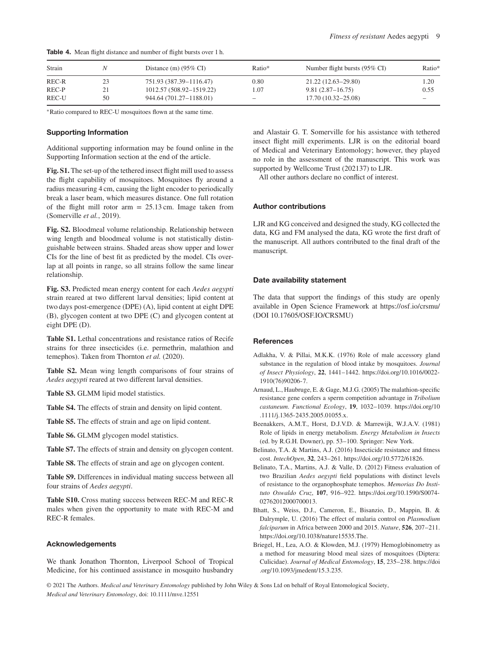| Strain |    | Distance (m) $(95\% \text{ CI})$ | Ratio*          | Number flight bursts $(95\% \text{ CI})$ | Ratio* |
|--------|----|----------------------------------|-----------------|------------------------------------------|--------|
| REC-R  | 23 | 751.93 (387.39-1116.47)          | 0.80            | 21.22 (12.63–29.80)                      | 1.20   |
| REC-P  |    | 1012.57 (508.92–1519.22)         | 1.07            | $9.81(2.87 - 16.75)$                     | 0.55   |
| REC-U  | 50 | 944.64 (701.27-1188.01)          | $\qquad \qquad$ | 17.70 (10.32–25.08)                      |        |

**Table 4.** Mean flight distance and number of flight bursts over 1 h.

<sup>∗</sup>Ratio compared to REC-U mosquitoes flown at the same time.

## **Supporting Information**

Additional supporting information may be found online in the Supporting Information section at the end of the article.

**Fig. S1.** The set-up of the tethered insect flight mill used to assess the flight capability of mosquitoes. Mosquitoes fly around a radius measuring 4 cm, causing the light encoder to periodically break a laser beam, which measures distance. One full rotation of the flight mill rotor arm  $= 25.13$  cm. Image taken from (Somerville *et al.*, 2019).

**Fig. S2.** Bloodmeal volume relationship. Relationship between wing length and bloodmeal volume is not statistically distinguishable between strains. Shaded areas show upper and lower CIs for the line of best fit as predicted by the model. CIs overlap at all points in range, so all strains follow the same linear relationship.

**Fig. S3.** Predicted mean energy content for each *Aedes aegypti* strain reared at two different larval densities; lipid content at two days post-emergence (DPE) (A), lipid content at eight DPE (B), glycogen content at two DPE (C) and glycogen content at eight DPE (D).

**Table S1.** Lethal concentrations and resistance ratios of Recife strains for three insecticides (i.e. permethrin, malathion and temephos). Taken from Thornton *et al.* (2020).

**Table S2.** Mean wing length comparisons of four strains of *Aedes aegypti* reared at two different larval densities.

**Table S3.** GLMM lipid model statistics.

**Table S4.** The effects of strain and density on lipid content.

**Table S5.** The effects of strain and age on lipid content.

**Table S6.** GLMM glycogen model statistics.

**Table S7.** The effects of strain and density on glycogen content.

**Table S8.** The effects of strain and age on glycogen content.

**Table S9.** Differences in individual mating success between all four strains of *Aedes aegypti*.

**Table S10.** Cross mating success between REC-M and REC-R males when given the opportunity to mate with REC-M and REC-R females.

## **Acknowledgements**

We thank Jonathon Thornton, Liverpool School of Tropical Medicine, for his continued assistance in mosquito husbandry

and Alastair G. T. Somerville for his assistance with tethered insect flight mill experiments. LJR is on the editorial board of Medical and Veterinary Entomology; however, they played no role in the assessment of the manuscript. This work was supported by Wellcome Trust (202137) to LJR.

All other authors declare no conflict of interest.

# **Author contributions**

LJR and KG conceived and designed the study, KG collected the data, KG and FM analysed the data, KG wrote the first draft of the manuscript. All authors contributed to the final draft of the manuscript.

## **Date availability statement**

The data that support the findings of this study are openly available in Open Science Framework at<https://osf.io/crsmu/> (DOI 10.17605/OSF.IO/CRSMU)

# **References**

- Adlakha, V. & Pillai, M.K.K. (1976) Role of male accessory gland substance in the regulation of blood intake by mosquitoes. *Journal of Insect Physiology*, **22**, 1441–1442. [https://doi.org/10.1016/0022-](https://doi.org/10.1016/0022-1910(76)90206-7) [1910\(76\)90206-7.](https://doi.org/10.1016/0022-1910(76)90206-7)
- Arnaud, L., Haubruge, E. & Gage, M.J.G. (2005) The malathion-specific resistance gene confers a sperm competition advantage in *Tribolium castaneum*. *Functional Ecology*, **19**, 1032–1039. [https://doi.org/10](https://doi.org/10.1111/j.1365-2435.2005.01055.x) [.1111/j.1365-2435.2005.01055.x.](https://doi.org/10.1111/j.1365-2435.2005.01055.x)
- Beenakkers, A.M.T., Horst, D.J.V.D. & Marrewijk, W.J.A.V. (1981) Role of lipids in energy metabolism. *Energy Metabolism in Insects* (ed. by R.G.H. Downer), pp. 53–100. Springer: New York.
- Belinato, T.A. & Martins, A.J. (2016) Insecticide resistance and fitness cost. *IntechOpen*, **32**, 243–261. [https://doi.org/10.5772/61826.](https://doi.org/10.5772/61826)
- Belinato, T.A., Martins, A.J. & Valle, D. (2012) Fitness evaluation of two Brazilian *Aedes aegypti* field populations with distinct levels of resistance to the organophosphate temephos. *Memorias Do Instituto Oswaldo Cruz*, **107**, 916–922. [https://doi.org/10.1590/S0074-](https://doi.org/10.1590/S0074-02762012000700013) [02762012000700013.](https://doi.org/10.1590/S0074-02762012000700013)
- Bhatt, S., Weiss, D.J., Cameron, E., Bisanzio, D., Mappin, B. & Dalrymple, U. (2016) The effect of malaria control on *Plasmodium falciparum* in Africa between 2000 and 2015. *Nature*, **526**, 207–211. [https://doi.org/10.1038/nature15535.The.](https://doi.org/10.1038/nature15535.The)
- Briegel, H., Lea, A.O. & Klowden, M.J. (1979) Hemoglobinometry as a method for measuring blood meal sizes of mosquitoes (Diptera: Culicidae). *Journal of Medical Entomology*, **15**, 235–238. [https://doi](https://doi.org/10.1093/jmedent/15.3.235) [.org/10.1093/jmedent/15.3.235.](https://doi.org/10.1093/jmedent/15.3.235)